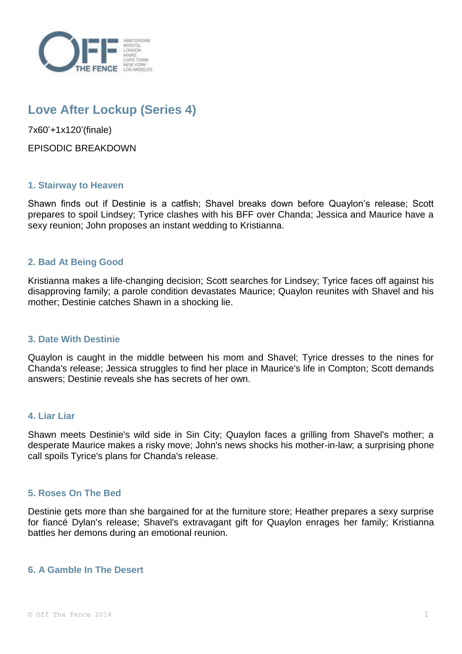

# **Love After Lockup (Series 4)**

7x60'+1x120'(finale)

EPISODIC BREAKDOWN

## **1. Stairway to Heaven**

Shawn finds out if Destinie is a catfish; Shavel breaks down before Quaylon's release; Scott prepares to spoil Lindsey; Tyrice clashes with his BFF over Chanda; Jessica and Maurice have a sexy reunion; John proposes an instant wedding to Kristianna.

## **2. Bad At Being Good**

Kristianna makes a life-changing decision; Scott searches for Lindsey; Tyrice faces off against his disapproving family; a parole condition devastates Maurice; Quaylon reunites with Shavel and his mother; Destinie catches Shawn in a shocking lie.

#### **3. Date With Destinie**

Quaylon is caught in the middle between his mom and Shavel; Tyrice dresses to the nines for Chanda's release; Jessica struggles to find her place in Maurice's life in Compton; Scott demands answers; Destinie reveals she has secrets of her own.

#### **4. Liar Liar**

Shawn meets Destinie's wild side in Sin City; Quaylon faces a grilling from Shavel's mother; a desperate Maurice makes a risky move; John's news shocks his mother-in-law; a surprising phone call spoils Tyrice's plans for Chanda's release.

#### **5. Roses On The Bed**

Destinie gets more than she bargained for at the furniture store; Heather prepares a sexy surprise for fiancé Dylan's release; Shavel's extravagant gift for Quaylon enrages her family; Kristianna battles her demons during an emotional reunion.

#### **6. A Gamble In The Desert**